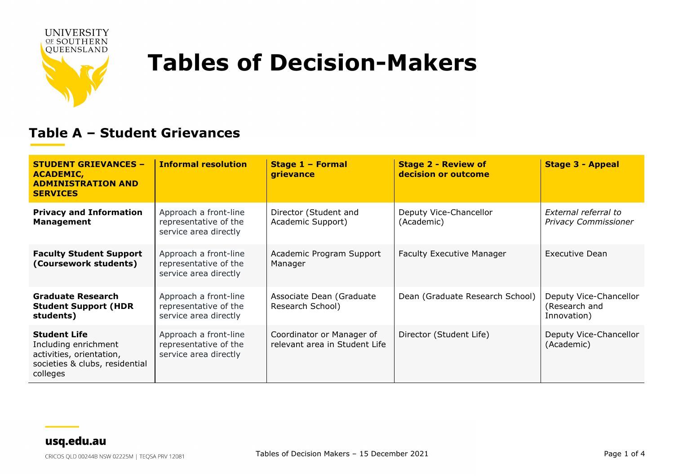

**---** 

# **Tables of Decision-Makers**

#### **Table A – Student Grievances**

| <b>STUDENT GRIEVANCES -</b><br><b>ACADEMIC,</b><br><b>ADMINISTRATION AND</b><br><b>SERVICES</b>                       | <b>Informal resolution</b>                                              | Stage 1 - Formal<br>grievance                              | <b>Stage 2 - Review of</b><br>decision or outcome | <b>Stage 3 - Appeal</b>                                |
|-----------------------------------------------------------------------------------------------------------------------|-------------------------------------------------------------------------|------------------------------------------------------------|---------------------------------------------------|--------------------------------------------------------|
| <b>Privacy and Information</b><br><b>Management</b>                                                                   | Approach a front-line<br>representative of the<br>service area directly | Director (Student and<br>Academic Support)                 | Deputy Vice-Chancellor<br>(Academic)              | External referral to<br><b>Privacy Commissioner</b>    |
| <b>Faculty Student Support</b><br>(Coursework students)                                                               | Approach a front-line<br>representative of the<br>service area directly | Academic Program Support<br>Manager                        | <b>Faculty Executive Manager</b>                  | Executive Dean                                         |
| <b>Graduate Research</b><br><b>Student Support (HDR</b><br>students)                                                  | Approach a front-line<br>representative of the<br>service area directly | Associate Dean (Graduate<br>Research School)               | Dean (Graduate Research School)                   | Deputy Vice-Chancellor<br>(Research and<br>Innovation) |
| <b>Student Life</b><br>Including enrichment<br>activities, orientation,<br>societies & clubs, residential<br>colleges | Approach a front-line<br>representative of the<br>service area directly | Coordinator or Manager of<br>relevant area in Student Life | Director (Student Life)                           | Deputy Vice-Chancellor<br>(Academic)                   |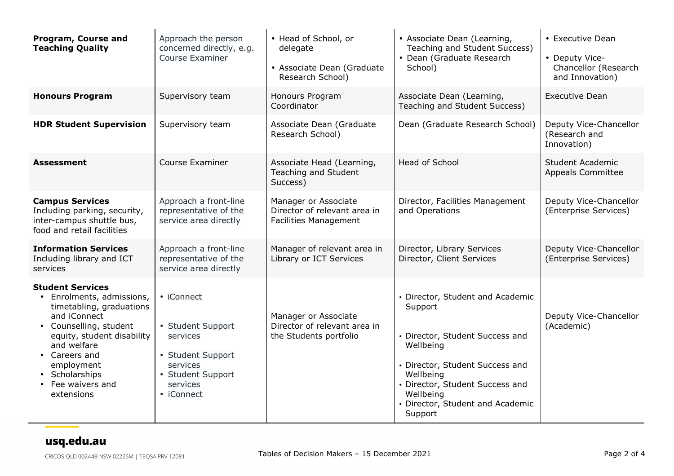| Program, Course and<br><b>Teaching Quality</b>                                                                                                                                                                                                                         | Approach the person<br>concerned directly, e.g.<br>Course Examiner                                                          | • Head of School, or<br>delegate<br>• Associate Dean (Graduate<br>Research School)   | • Associate Dean (Learning,<br>Teaching and Student Success)<br>• Dean (Graduate Research<br>School)                                                                                                                                       | • Executive Dean<br>• Deputy Vice-<br>Chancellor (Research<br>and Innovation) |
|------------------------------------------------------------------------------------------------------------------------------------------------------------------------------------------------------------------------------------------------------------------------|-----------------------------------------------------------------------------------------------------------------------------|--------------------------------------------------------------------------------------|--------------------------------------------------------------------------------------------------------------------------------------------------------------------------------------------------------------------------------------------|-------------------------------------------------------------------------------|
| <b>Honours Program</b>                                                                                                                                                                                                                                                 | Supervisory team                                                                                                            | Honours Program<br>Coordinator                                                       | Associate Dean (Learning,<br>Teaching and Student Success)                                                                                                                                                                                 | <b>Executive Dean</b>                                                         |
| <b>HDR Student Supervision</b>                                                                                                                                                                                                                                         | Supervisory team                                                                                                            | Associate Dean (Graduate<br>Research School)                                         | Dean (Graduate Research School)                                                                                                                                                                                                            | Deputy Vice-Chancellor<br>(Research and<br>Innovation)                        |
| <b>Assessment</b>                                                                                                                                                                                                                                                      | Course Examiner                                                                                                             | Associate Head (Learning,<br>Teaching and Student<br>Success)                        | <b>Head of School</b>                                                                                                                                                                                                                      | <b>Student Academic</b><br><b>Appeals Committee</b>                           |
| <b>Campus Services</b><br>Including parking, security,<br>inter-campus shuttle bus,<br>food and retail facilities                                                                                                                                                      | Approach a front-line<br>representative of the<br>service area directly                                                     | Manager or Associate<br>Director of relevant area in<br><b>Facilities Management</b> | Director, Facilities Management<br>and Operations                                                                                                                                                                                          | Deputy Vice-Chancellor<br>(Enterprise Services)                               |
| <b>Information Services</b><br>Including library and ICT<br>services                                                                                                                                                                                                   | Approach a front-line<br>representative of the<br>service area directly                                                     | Manager of relevant area in<br>Library or ICT Services                               | Director, Library Services<br>Director, Client Services                                                                                                                                                                                    | Deputy Vice-Chancellor<br>(Enterprise Services)                               |
| <b>Student Services</b><br>• Enrolments, admissions,<br>timetabling, graduations<br>and iConnect<br>• Counselling, student<br>equity, student disability<br>and welfare<br>• Careers and<br>employment<br>• Scholarships<br>Fee waivers and<br>$\bullet$<br>extensions | • iConnect<br>• Student Support<br>services<br>• Student Support<br>services<br>• Student Support<br>services<br>• iConnect | Manager or Associate<br>Director of relevant area in<br>the Students portfolio       | • Director, Student and Academic<br>Support<br>• Director, Student Success and<br>Wellbeing<br>• Director, Student Success and<br>Wellbeing<br>• Director, Student Success and<br>Wellbeing<br>• Director, Student and Academic<br>Support | Deputy Vice-Chancellor<br>(Academic)                                          |

### usq.edu.au

 $\mathcal{L}_{\text{max}}$  and  $\mathcal{L}_{\text{max}}$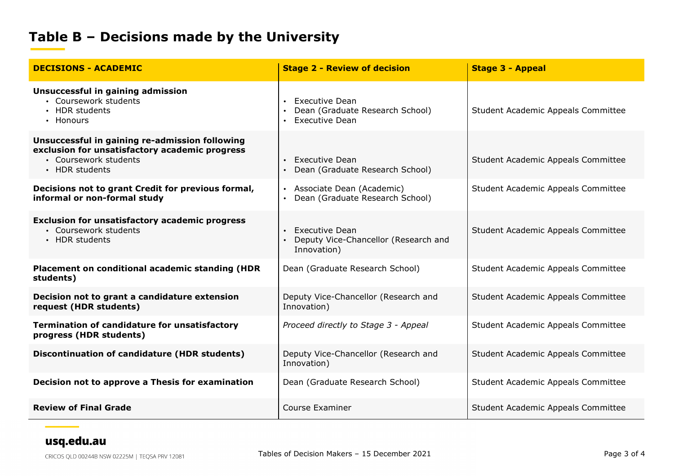## **Table B – Decisions made by the University**

| <b>DECISIONS - ACADEMIC</b>                                                                                                                 | <b>Stage 2 - Review of decision</b>                                               | <b>Stage 3 - Appeal</b>            |
|---------------------------------------------------------------------------------------------------------------------------------------------|-----------------------------------------------------------------------------------|------------------------------------|
| Unsuccessful in gaining admission<br>• Coursework students<br>• HDR students<br>• Honours                                                   | <b>Executive Dean</b><br>Dean (Graduate Research School)<br><b>Executive Dean</b> | Student Academic Appeals Committee |
| Unsuccessful in gaining re-admission following<br>exclusion for unsatisfactory academic progress<br>• Coursework students<br>• HDR students | <b>Executive Dean</b><br>Dean (Graduate Research School)                          | Student Academic Appeals Committee |
| Decisions not to grant Credit for previous formal,<br>informal or non-formal study                                                          | • Associate Dean (Academic)<br>Dean (Graduate Research School)                    | Student Academic Appeals Committee |
| <b>Exclusion for unsatisfactory academic progress</b><br>• Coursework students<br>• HDR students                                            | <b>Executive Dean</b><br>Deputy Vice-Chancellor (Research and<br>Innovation)      | Student Academic Appeals Committee |
| Placement on conditional academic standing (HDR<br>students)                                                                                | Dean (Graduate Research School)                                                   | Student Academic Appeals Committee |
| Decision not to grant a candidature extension<br>request (HDR students)                                                                     | Deputy Vice-Chancellor (Research and<br>Innovation)                               | Student Academic Appeals Committee |
| <b>Termination of candidature for unsatisfactory</b><br>progress (HDR students)                                                             | Proceed directly to Stage 3 - Appeal                                              | Student Academic Appeals Committee |
| <b>Discontinuation of candidature (HDR students)</b>                                                                                        | Deputy Vice-Chancellor (Research and<br>Innovation)                               | Student Academic Appeals Committee |
| Decision not to approve a Thesis for examination                                                                                            | Dean (Graduate Research School)                                                   | Student Academic Appeals Committee |
| <b>Review of Final Grade</b>                                                                                                                | Course Examiner                                                                   | Student Academic Appeals Committee |

#### usq.edu.au

**---**